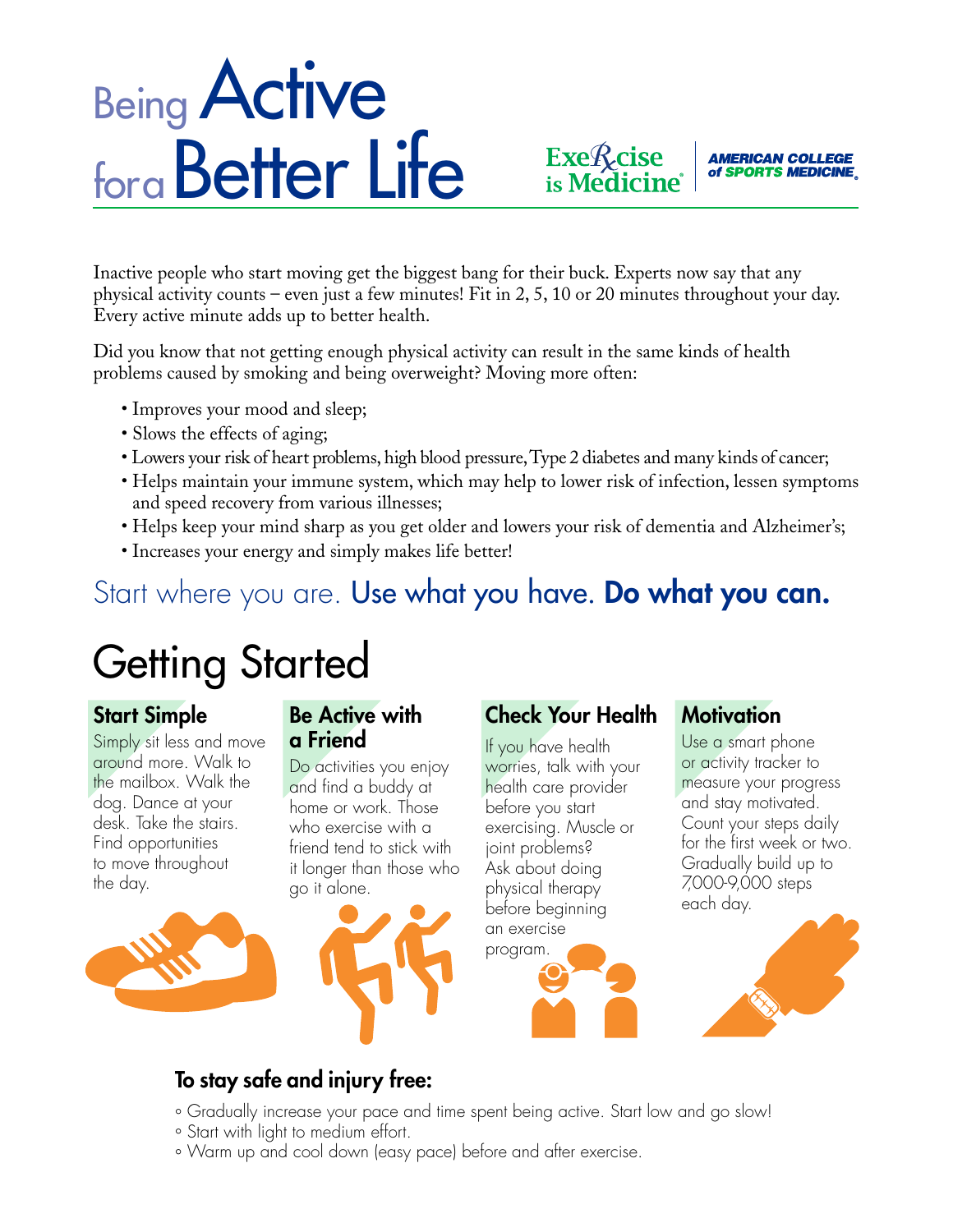# **Being Active** for a Better Life

Inactive people who start moving get the biggest bang for their buck. Experts now say that any physical activity counts – even just a few minutes! Fit in 2, 5, 10 or 20 minutes throughout your day. Every active minute adds up to better health.

Did you know that not getting enough physical activity can result in the same kinds of health problems caused by smoking and being overweight? Moving more often:

- Improves your mood and sleep;
- Slows the effects of aging;
- Lowers your risk of heart problems, high blood pressure, Type 2 diabetes and many kinds of cancer;
- Helps maintain your immune system, which may help to lower risk of infection, lessen symptoms and speed recovery from various illnesses;
- Helps keep your mind sharp as you get older and lowers your risk of dementia and Alzheimer's;
- Increases your energy and simply makes life better!

# Start where you are. Use what you have. Do what you can.

# Getting Started

### Start Simple

Simply sit less and move around more. Walk to the mailbox. Walk the dog. Dance at your desk. Take the stairs. Find opportunities to move throughout the day.



#### Be Active with a Friend

Do activities you enjoy and find a buddy at home or work. Those who exercise with a friend tend to stick with it longer than those who go it alone.



### Check Your Health

Exe*f* cise<br>is Medicine<sup>®</sup>

If you have health worries, talk with your health care provider before you start exercising. Muscle or joint problems? Ask about doing physical therapy before beginning an exercise program.

### **Motivation**

Use a smart phone or activity tracker to measure your progress and stay motivated. Count your steps daily for the first week or two. Gradually build up to 7,000-9,000 steps each day.

**AMERICAN COLLEGE** of SPORTS MEDICINE



## To stay safe and injury free:

- ° Gradually increase your pace and time spent being active. Start low and go slow!
- ° Start with light to medium effort.
- ° Warm up and cool down (easy pace) before and after exercise.